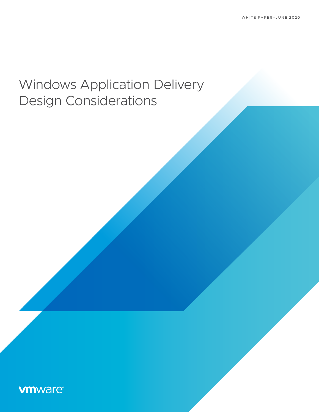# Windows Application Delivery Design Considerations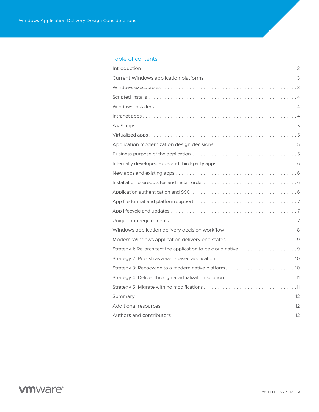### Table of contents

| Introduction                                       | 3  |
|----------------------------------------------------|----|
| Current Windows application platforms              | 3  |
|                                                    |    |
|                                                    |    |
|                                                    |    |
|                                                    |    |
|                                                    |    |
|                                                    |    |
| Application modernization design decisions         | 5  |
|                                                    |    |
|                                                    |    |
|                                                    |    |
|                                                    |    |
|                                                    |    |
|                                                    |    |
|                                                    |    |
|                                                    |    |
| Windows application delivery decision workflow     | 8  |
| Modern Windows application delivery end states     | 9  |
|                                                    |    |
| Strategy 2: Publish as a web-based application  10 |    |
|                                                    |    |
|                                                    |    |
|                                                    |    |
| Summary                                            | 12 |
| <b>Additional resources</b>                        | 12 |
| Authors and contributors                           | 12 |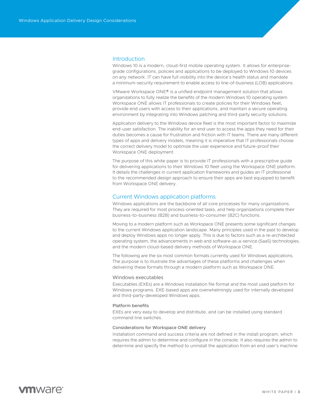#### <span id="page-2-0"></span>Introduction

Windows 10 is a modern, cloud-first mobile operating system. It allows for enterprisegrade configurations, policies and applications to be deployed to Windows 10 devices on any network. IT can have full visibility into the device's health status and mandate a minimum-security requirement to enable access to line-of-business (LOB) applications.

VMware Workspace  $ONE<sup>®</sup>$  is a unified endpoint management solution that allows organizations to fully realize the benefits of the modern Windows 10 operating system. Workspace ONE allows IT professionals to create policies for their Windows fleet, provide end users with access to their applications, and maintain a secure operating environment by integrating into Windows patching and third-party security solutions.

Application delivery to the Windows device fleet is the most important factor to maximize end-user satisfaction. The inability for an end user to access the apps they need for their duties becomes a cause for frustration and friction with IT teams. There are many different types of apps and delivery models, meaning it is imperative that IT professionals choose the correct delivery model to optimize the user experience and future-proof their Workspace ONE deployment.

The purpose of this white paper is to provide IT professionals with a prescriptive guide for delivering applications to their Windows 10 fleet using the Workspace ONE platform. It details the challenges in current application frameworks and guides an IT professional to the recommended design approach to ensure their apps are best equipped to benefit from Workspace ONE delivery.

#### Current Windows application platforms

Windows applications are the backbone of all core processes for many organizations. They are required for most process-oriented tasks, and help organizations complete their business-to-business (B2B) and business-to-consumer (B2C) functions.

Moving to a modern platform such as Workspace ONE presents some significant changes to the current Windows application landscape. Many principles used in the past to develop and deploy Windows apps no longer apply. This is due to factors such as a re-architected operating system, the advancements in web and software-as-a-service (SaaS) technologies, and the modern cloud-based delivery methods of Workspace ONE.

The following are the six most common formats currently used for Windows applications. The purpose is to illustrate the advantages of these platforms and challenges when delivering these formats through a modern platform such as Workspace ONE.

#### Windows executables

Executables (EXEs) are a Windows installation file format and the most used platform for Windows programs. EXE-based apps are overwhelmingly used for internally developed and third-party-developed Windows apps.

#### Platform benefits

EXEs are very easy to develop and distribute, and can be installed using standard command line switches.

#### Considerations for Workspace ONE delivery

Installation command and success criteria are not defined in the install program, which requires the admin to determine and configure in the console. It also requires the admin to determine and specify the method to uninstall the application from an end user's machine.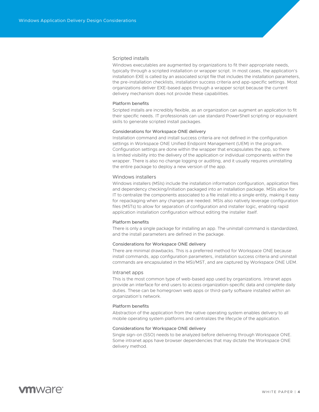#### <span id="page-3-0"></span>Scripted installs

Windows executables are augmented by organizations to fit their appropriate needs, typically through a scripted installation or wrapper script. In most cases, the application's installation EXE is called by an associated script file that includes the installation parameters, the pre-installation checklists, installation success criteria and app-specific settings. Most organizations deliver EXE-based apps through a wrapper script because the current delivery mechanism does not provide these capabilities.

#### Platform benefits

Scripted installs are incredibly flexible, as an organization can augment an application to fit their specific needs. IT professionals can use standard PowerShell scripting or equivalent skills to generate scripted install packages.

#### Considerations for Workspace ONE delivery

Installation command and install success criteria are not defined in the configuration settings in Workspace ONE Unified Endpoint Management (UEM) in the program. Configuration settings are done within the wrapper that encapsulates the app, so there is limited visibility into the delivery of the application or individual components within the wrapper. There is also no change logging or auditing, and it usually requires uninstalling the entire package to deploy a new version of the app.

#### Windows installers

Windows installers (MSIs) include the installation information configuration, application files and dependency checking/initiation packaged into an installation package. MSIs allow for IT to centralize the components associated to a file install into a single entity, making it easy for repackaging when any changes are needed. MSIs also natively leverage configuration files (MSTs) to allow for separation of configuration and installer logic, enabling rapid application installation configuration without editing the installer itself.

#### Platform benefits

There is only a single package for installing an app. The uninstall command is standardized, and the install parameters are defined in the package.

#### Considerations for Workspace ONE delivery

There are minimal drawbacks. This is a preferred method for Workspace ONE because install commands, app configuration parameters, installation success criteria and uninstall commands are encapsulated in the MSI/MST, and are captured by Workspace ONE UEM.

#### Intranet apps

This is the most common type of web-based app used by organizations. Intranet apps provide an interface for end users to access organization-specific data and complete daily duties. These can be homegrown web apps or third-party software installed within an organization's network.

#### Platform benefits

Abstraction of the application from the native operating system enables delivery to all mobile operating system platforms and centralizes the lifecycle of the application.

#### Considerations for Workspace ONE delivery

Single sign-on (SSO) needs to be analyzed before delivering through Workspace ONE. Some intranet apps have browser dependencies that may dictate the Workspace ONE delivery method.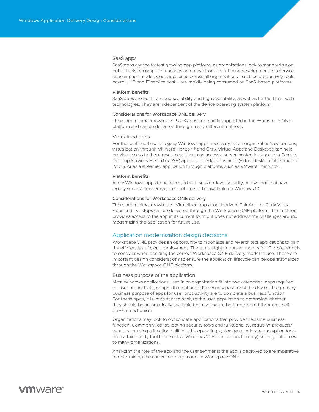#### <span id="page-4-0"></span>SaaS apps

SaaS apps are the fastest growing app platform, as organizations look to standardize on public tools to complete functions and move from an in-house development to a service consumption model. Core apps used across all organizations—such as productivity tools, payroll, HR and IT service desk—are rapidly being consumed on SaaS-based platforms.

#### Platform benefits

SaaS apps are built for cloud scalability and high availability, as well as for the latest web technologies. They are independent of the device operating system platform.

#### Considerations for Workspace ONE delivery

There are minimal drawbacks. SaaS apps are readily supported in the Workspace ONE platform and can be delivered through many different methods.

#### Virtualized apps

For the continued use of legacy Windows apps necessary for an organization's operations, virtualization through VMware Horizon® and Citrix Virtual Apps and Desktops can help provide access to these resources. Users can access a server-hosted instance as a Remote Desktop Services Hosted (RDSH) app, a full desktop instance (virtual desktop infrastructure [VDI]), or as a streamed application through platforms such as VMware ThinApp®.

#### Platform benefits

Allow Windows apps to be accessed with session-level security. Allow apps that have legacy server/browser requirements to still be available on Windows 10.

#### Considerations for Workspace ONE delivery

There are minimal drawbacks. Virtualized apps from Horizon, ThinApp, or Citrix Virtual Apps and Desktops can be delivered through the Workspace ONE platform. This method provides access to the app in its current form but does not address the challenges around modernizing the application for future use.

### Application modernization design decisions

Workspace ONE provides an opportunity to rationalize and re-architect applications to gain the efficiencies of cloud deployment. There are eight important factors for IT professionals to consider when deciding the correct Workspace ONE delivery model to use. These are important design considerations to ensure the application lifecycle can be operationalized through the Workspace ONE platform.

#### Business purpose of the application

Most Windows applications used in an organization fit into two categories: apps required for user productivity, or apps that enhance the security posture of the device. The primary business purpose of apps for user productivity are to complete a business function. For these apps, it is important to analyze the user population to determine whether they should be automatically available to a user or are better delivered through a selfservice mechanism.

Organizations may look to consolidate applications that provide the same business function. Commonly, consolidating security tools and functionality, reducing products/ vendors, or using a function built into the operating system (e.g., migrate encryption tools from a third-party tool to the native Windows 10 BitLocker functionality) are key outcomes to many organizations.

Analyzing the role of the app and the user segments the app is deployed to are imperative to determining the correct delivery model in Workspace ONE.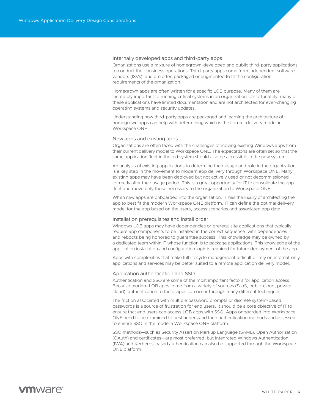#### <span id="page-5-0"></span>Internally developed apps and third-party apps

Organizations use a mixture of homegrown-developed and public third-party applications to conduct their business operations. Third-party apps come from independent software vendors (ISVs), and are often packaged or augmented to fit the configuration requirements of the organization.

Homegrown apps are often written for a specific LOB purpose. Many of them are incredibly important to running critical systems in an organization. Unfortunately, many of these applications have limited documentation and are not architected for ever-changing operating systems and security updates.

Understanding how third-party apps are packaged and learning the architecture of homegrown apps can help with determining which is the correct delivery model in Workspace ONE.

#### New apps and existing apps

Organizations are often faced with the challenges of moving existing Windows apps from their current delivery model to Workspace ONE. The expectations are often set so that the same application fleet in the old system should also be accessible in the new system.

An analysis of existing applications to determine their usage and role in the organization is a key step in the movement to modern app delivery through Workspace ONE. Many existing apps may have been deployed but not actively used or not decommissioned correctly after their usage period. This is a great opportunity for IT to consolidate the app fleet and move only those necessary to the organization to Workspace ONE.

When new apps are onboarded into the organization, IT has the luxury of architecting the app to best fit the modern Workspace ONE platform. IT can define the optimal delivery model for the app based on the users, access scenarios and associated app data.

#### Installation prerequisites and install order

Windows LOB apps may have dependencies or prerequisite applications that typically require app components to be installed in the correct sequence, with dependencies and reboots being honored to guarantee success. This knowledge may be owned by a dedicated team within IT whose function is to package applications. This knowledge of the application installation and configuration logic is required for future deployment of the app.

Apps with complexities that make full lifecycle management difficult or rely on internal-only applications and services may be better suited to a remote application delivery model.

#### Application authentication and SSO

Authentication and SSO are some of the most important factors for application access. Because modern LOB apps come from a variety of sources (SaaS, public cloud, private cloud), authentication to these apps can occur through many different techniques.

The friction associated with multiple password prompts or discrete system-based passwords is a source of frustration for end users. It should be a core objective of IT to ensure that end users can access LOB apps with SSO. Apps onboarded into Workspace ONE need to be examined to best understand their authentication methods and assessed to ensure SSO in the modern Workspace ONE platform.

SSO methods—such as Security Assertion Markup Language (SAML), Open Authorization (OAuth) and certificates—are most preferred, but Integrated Windows Authentication (IWA) and Kerberos-based authentication can also be supported through the Workspace ONE platform.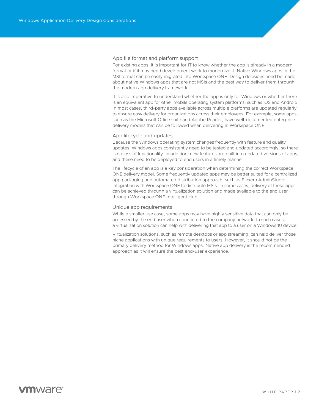#### <span id="page-6-0"></span>App file format and platform support

For existing apps, it is important for IT to know whether the app is already in a modern format or if it may need development work to modernize it. Native Windows apps in the MSI format can be easily migrated into Workspace ONE. Design decisions need be made about native Windows apps that are not MSIs and the best way to deliver them through the modern app delivery framework.

It is also imperative to understand whether the app is only for Windows or whether there is an equivalent app for other mobile operating system platforms, such as iOS and Android. In most cases, third-party apps available across multiple platforms are updated regularly to ensure easy delivery for organizations across their employees. For example, some apps, such as the Microsoft Office suite and Adobe Reader, have well-documented enterprise delivery models that can be followed when delivering in Workspace ONE.

#### App lifecycle and updates

Because the Windows operating system changes frequently with feature and quality updates, Windows apps consistently need to be tested and updated accordingly, so there is no loss of functionality. In addition, new features are built into updated versions of apps, and these need to be deployed to end users in a timely manner.

The lifecycle of an app is a key consideration when determining the correct Workspace ONE delivery model. Some frequently updated apps may be better suited for a centralized app packaging and automated distribution approach, such as Flexera AdminStudio integration with Workspace ONE to distribute MSIs. In some cases, delivery of these apps can be achieved through a virtualization solution and made available to the end user through Workspace ONE Intelligent Hub.

#### Unique app requirements

While a smaller use case, some apps may have highly sensitive data that can only be accessed by the end user when connected to the company network. In such cases, a virtualization solution can help with delivering that app to a user on a Windows 10 device.

Virtualization solutions, such as remote desktops or app streaming, can help deliver those niche applications with unique requirements to users. However, it should not be the primary delivery method for Windows apps. Native app delivery is the recommended approach as it will ensure the best end-user experience.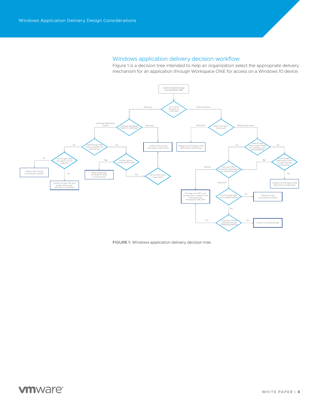### Windows application delivery decision workflow

Figure 1 is a decision tree intended to help an organization select the appropriate delivery mechanism for an application through Workspace ONE for access on a Windows 10 device.

<span id="page-7-0"></span>

FIGURE 1: Windows application delivery decision tree.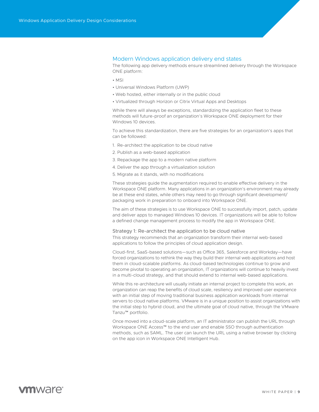#### <span id="page-8-0"></span>Modern Windows application delivery end states

The following app delivery methods ensure streamlined delivery through the Workspace ONE platform:

- MSI
- Universal Windows Platform (UWP)
- Web hosted, either internally or in the public cloud
- Virtualized through Horizon or Citrix Virtual Apps and Desktops

While there will always be exceptions, standardizing the application fleet to these methods will future-proof an organization's Workspace ONE deployment for their Windows 10 devices.

To achieve this standardization, there are five strategies for an organization's apps that can be followed:

- 1. Re-architect the application to be cloud native
- 2. Publish as a web-based application
- 3.Repackage the app to a modern native platform
- 4. Deliver the app through a virtualization solution
- 5. Migrate as it stands, with no modifications

These strategies guide the augmentation required to enable effective delivery in the Workspace ONE platform. Many applications in an organization's environment may already be at these end states, while others may need to go through significant development/ packaging work in preparation to onboard into Workspace ONE.

The aim of these strategies is to use Workspace ONE to successfully import, patch, update and deliver apps to managed Windows 10 devices. IT organizations will be able to follow a defined change management process to modify the app in Workspace ONE.

#### Strategy 1: Re-architect the application to be cloud native

This strategy recommends that an organization transform their internal web-based applications to follow the principles of cloud application design.

Cloud-first, SaaS-based solutions—such as Office 365, Salesforce and Workday—have forced organizations to rethink the way they build their internal web applications and host them in cloud-scalable platforms. As cloud-based technologies continue to grow and become pivotal to operating an organization, IT organizations will continue to heavily invest in a multi-cloud strategy, and that should extend to internal web-based applications.

While this re-architecture will usually initiate an internal project to complete this work, an organization can reap the benefits of cloud scale, resiliency and improved user experience with an initial step of moving traditional business application workloads from internal servers to cloud native platforms. VMware is in a unique position to assist organizations with the initial step to hybrid cloud, and the ultimate goal of cloud native, through the VMware Tanzu™ portfolio.

Once moved into a cloud-scale platform, an IT administrator can publish the URL through Workspace ONE Access™ to the end user and enable SSO through authentication methods, such as SAML. The user can launch the URL using a native browser by clicking on the app icon in Workspace ONE Intelligent Hub.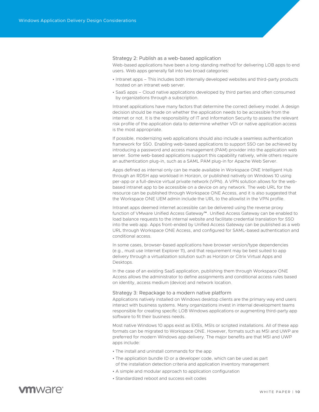#### <span id="page-9-0"></span>Strategy 2: Publish as a web-based application

Web-based applications have been a long-standing method for delivering LOB apps to end users. Web apps generally fall into two broad categories:

- Intranet apps This includes both internally developed websites and third-party products hosted on an intranet web server.
- SaaS apps Cloud native applications developed by third parties and often consumed by organizations through a subscription.

Intranet applications have many factors that determine the correct delivery model. A design decision should be made on whether the application needs to be accessible from the internet or not. It is the responsibility of IT and Information Security to assess the relevant risk profile of the application data to determine whether VDI or native application access is the most appropriate.

If possible, modernizing web applications should also include a seamless authentication framework for SSO. Enabling web-based applications to support SSO can be achieved by introducing a password and access management (PAM) provider into the application web server. Some web-based applications support this capability natively, while others require an authentication plug-in, such as a SAML PAM plug-in for Apache Web Server.

Apps defined as internal only can be made available in Workspace ONE Intelligent Hub through an RDSH app workload in Horizon, or published natively on Windows 10 using per-app or a full-device virtual private network (VPN). A VPN solution allows for the webbased intranet app to be accessible on a device on any network. The web URL for the resource can be published through Workspace ONE Access, and it is also suggested that the Workspace ONE UEM admin include the URL to the allowlist in the VPN profile.

Intranet apps deemed internet accessible can be delivered using the reverse proxy function of VMware Unified Access Gateway™. Unified Access Gateway can be enabled to load balance requests to the internal website and facilitate credential translation for SSO into the web app. Apps front-ended by Unified Access Gateway can be published as a web URL through Workspace ONE Access, and configured for SAML-based authentication and conditional access.

In some cases, browser-based applications have browser version/type dependencies (e.g., must use Internet Explorer 11), and that requirement may be best suited to app delivery through a virtualization solution such as Horizon or Citrix Virtual Apps and Desktops.

In the case of an existing SaaS application, publishing them through Workspace ONE Access allows the administrator to define assignments and conditional access rules based on identity, access medium (device) and network location.

#### Strategy 3: Repackage to a modern native platform

Applications natively installed on Windows desktop clients are the primary way end users interact with business systems. Many organizations invest in internal development teams responsible for creating specific LOB Windows applications or augmenting third-party app software to fit their business needs.

Most native Windows 10 apps exist as EXEs, MSIs or scripted installations. All of these app formats can be migrated to Workspace ONE. However, formats such as MSI and UWP are preferred for modern Windows app delivery. The major benefits are that MSI and UWP apps include:

- The install and uninstall commands for the app
- The application bundle ID or a developer code, which can be used as part of the installation detection criteria and application inventory management
- A simple and modular approach to application configuration
- Standardized reboot and success exit codes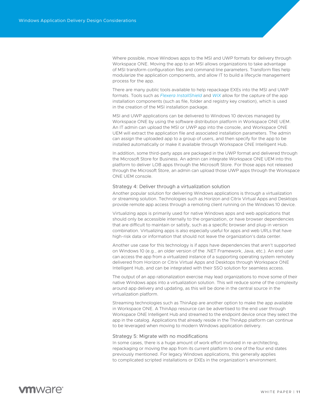<span id="page-10-0"></span>Where possible, move Windows apps to the MSI and UWP formats for delivery through Workspace ONE. Moving the app to an MSI allows organizations to take advantage of MSI transform configuration files and command line parameters. Transform files help modularize the application components, and allow IT to build a lifecycle management process for the app.

There are many public tools available to help repackage EXEs into the MSI and UWP formats. Tools such as *[Flexera InstallShield](https://www.flexerasoftware.com/install/products/installshield.html)* and *[WiX](https://wixtoolset.org/)* allow for the capture of the app installation components (such as file, folder and registry key creation), which is used in the creation of the MSI installation package.

MSI and UWP applications can be delivered to Windows 10 devices managed by Workspace ONE by using the software distribution platform in Workspace ONE UEM. An IT admin can upload the MSI or UWP app into the console, and Workspace ONE UEM will extract the application file and associated installation parameters. The admin can assign the uploaded app to a group of users, and then specify for the app to be installed automatically or make it available through Workspace ONE Intelligent Hub.

In addition, some third-party apps are packaged in the UWP format and delivered through the Microsoft Store for Business. An admin can integrate Workspace ONE UEM into this platform to deliver LOB apps through the Microsoft Store. For those apps not released through the Microsoft Store, an admin can upload those UWP apps through the Workspace ONE UEM console.

#### Strategy 4: Deliver through a virtualization solution

Another popular solution for delivering Windows applications is through a virtualization or streaming solution. Technologies such as Horizon and Citrix Virtual Apps and Desktops provide remote app access through a remoting client running on the Windows 10 device.

Virtualizing apps is primarily used for native Windows apps and web applications that should only be accessible internally to the organization, or have browser dependencies that are difficult to maintain or satisfy, such as a specific browser and plug-in version combination. Virtualizing apps is also especially useful for apps and web URLs that have high-risk data or information that should not leave the organization's data center.

Another use case for this technology is if apps have dependencies that aren't supported on Windows 10 (e.g., an older version of the .NET Framework, Java, etc.). An end user can access the app from a virtualized instance of a supporting operating system remotely delivered from Horizon or Citrix Virtual Apps and Desktops through Workspace ONE Intelligent Hub, and can be integrated with their SSO solution for seamless access.

The output of an app rationalization exercise may lead organizations to move some of their native Windows apps into a virtualization solution. This will reduce some of the complexity around app delivery and updating, as this will be done in the central source in the virtualization platform.

Streaming technologies such as ThinApp are another option to make the app available in Workspace ONE. A ThinApp resource can be advertised to the end user through Workspace ONE Intelligent Hub and streamed to the endpoint device once they select the app in the catalog. Applications that already reside in the ThinApp platform can continue to be leveraged when moving to modern Windows application delivery.

#### Strategy 5: Migrate with no modifications

In some cases, there is a huge amount of work effort involved in re-architecting, repackaging or moving the app from its current platform to one of the four end states previously mentioned. For legacy Windows applications, this generally applies to complicated scripted installations or EXEs in the organization's environment.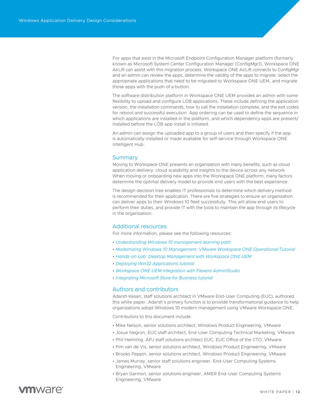<span id="page-11-0"></span>For apps that exist in the Microsoft Endpoint Configuration Manager platform (formerly known as Microsoft System Center Configuration Manager [ConfigMgr]), Workspace ONE AirLift can assist with this migration process. Workspace ONE AirLift connects to ConfigMgr and an admin can review the apps, determine the validity of the apps to migrate, select the appropriate applications that need to be migrated to Workspace ONE UEM, and migrate those apps with the push of a button.

The software distribution platform in Workspace ONE UEM provides an admin with some flexibility to upload and configure LOB applications. These include defining the application version, the installation commands, how to call the installation complete, and the exit codes for reboot and successful execution. App ordering can be used to define the sequence in which applications are installed in the platform, and which dependency apps are present/ installed before the LOB app install is initiated.

An admin can assign the uploaded app to a group of users and then specify if the app is automatically installed or made available for self-service through Workspace ONE Intelligent Hub.

### **Summary**

Moving to Workspace ONE presents an organization with many benefits, such as cloud application delivery, cloud scalability and insights to the device across any network. When moving or onboarding new apps into the Workspace ONE platform, many factors determine the optimal delivery model to provide end users with the best experience.

The design decision tree enables IT professionals to determine which delivery method is recommended for their application. There are five strategies to ensure an organization can deliver apps to their Windows 10 fleet successfully. This will allow end users to perform their duties, and provide IT with the tools to maintain the app through its lifecycle in the organization.

### Additional resources

For more information, please see the following resources:

- *[Understanding Windows 10 management learning path](https://techzone.vmware.com/understand-windows-10-management)*
- *[Modernizing Windows 10 Management: VMware Workspace ONE Operational Tutorial](https://techzone.vmware.com/operational-tutorial-vmware-workspace-one-moving-windows-10-modern-management)*
- *[Hands-on Lab: Desktop Management with Workspace ONE UEM](https://labs.hol.vmware.com/hol/catalogs/lab/6020)*
- *[Deploying Win32 Applications tutorial](https://techzone.vmware.com/deploying-win32-applications-vmware-workspace-one-operational-tutorial)*
- *[Workspace ONE UEM integration with Flexera AdminStudio](https://techzone.vmware.com/blog/no-need-repackaging-distribute-apps-workspace-one-uem-using-flexera-adminstudio)*
- *[Integrating Microsoft Store for Business tutorial](https://techzone.vmware.com/integrating-microsoft-store-business-vmware-workspace-one-operational-tutorial)*

### Authors and contributors

Adarsh Kesari, staff solutions architect in VMware End-User Computing (EUC), authored this white paper. Adarsh's primary function is to provide transformational guidance to help organizations adopt Windows 10 modern management using VMware Workspace ONE.

Contributors to this document include:

- Mike Nelson, senior solutions architect, Windows Product Engineering, VMware
- Josue Negron, EUC staff architect, End-User Computing Technical Marketing, VMware
- Phil Helmling, APJ staff solutions architect EUC, EUC Office of the CTO, VMware
- Pim van de Vis, senior solutions architect, Windows Product Engineering, VMware
- Brooks Peppin, senior solutions architect, Windows Product Engineering, VMware
- James Murray, senior staff solutions engineer, End-User Computing Systems Engineering, VMware
- Bryan Garmon, senior solutions engineer, AMER End-User Computing Systems Engineering, VMware